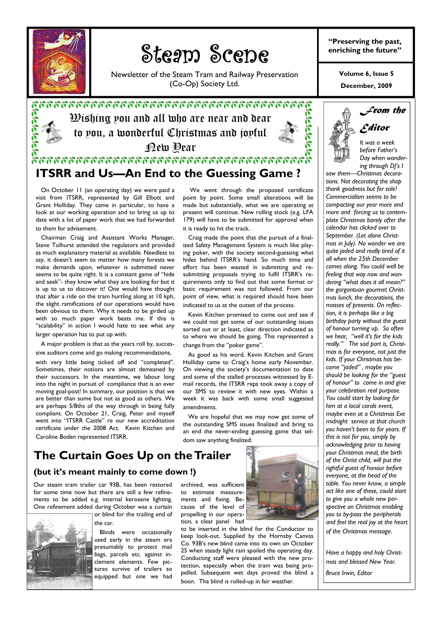

## toom Scon Steam Scene

Newsletter of the Steam Tram and Railway Preservation (Co-Op) Society Ltd.

 $\mathfrak{B}$ ishing you and all who are near and dear to you, a wonderful Christmas and joyful New Year

**ITSRR and Us—An End to the Guessing Game ?** 



#### **"Preserving the past, enriching the future"**

**December, 2009 Volume 6, Issue 5** 

> *It was a week before Father's Day when wandering through DJ's I*

*Editor* 

*From the* 

#### On October 11 (an operating day) we were paid a visit from ITSRR, represented by Gill Elliott and Grant Holliday. They came in particular, to have a look at our working operation and to bring us up to date with a lot of paper work that we had forwarded to them for advisement.

 Chairman Craig and Assistant Works Manager, Steve Tolhurst attended the regulators and provided as much explanatory material as available. Needless to say, it doesn't seem to matter how many forests we make demands upon, whatever is submitted never seems to be quite right. It is a constant game of "hide and seek"- they know what they are looking for but it is up to us to discover it! One would have thought that after a ride on the tram hurtling along at 10 kph, the slight ramifications of our operations would have been obvious to them. Why it needs to be girded up with so much paper work beats me. If this is "scalability" in action I would hate to see what any larger operation has to put up with.

 A major problem is that as the years roll by, successive auditors come and go making recommendations,

with very little being ticked off and "completed". Sometimes, their notions are almost demeaned by their successors. In the meantime, we labour long into the night in pursuit of compliance that is an ever moving goal-post! In summary, our position is that we are better than some but not as good as others. We are perhaps 5/8ths of the way through in being fully compliant. On October 21, Craig, Peter and myself went into "ITSRR Castle" re our new accreditation certificate under the 2008 Act. Kevin Kitchen and Caroline Boden represented ITSRR.

# **The Curtain Goes Up on the Trailer**

### **(but it's meant mainly to come down !)**

Our steam tram trailer car 93B, has been restored for some time now but there are still a few refinements to be added e.g. internal kerosene lighting. One refinement added during October was a curtain



or blind for the trailing end of the car.

 Blinds were occasionally used early in the steam era presumably to protect mail bags, parcels etc. against inclement elements. Few pictures survive of trailers so equipped but one we had

archived, was sufficient to estimate measurements and fixing. Because of the level of propelling in our operation, a clear panel had

to be inserted in the blind for the Conductor to keep look-out. Supplied by the Hornsby Canvas Co. 93B's new blind came into its own on October 25 when steady light rain spoiled the operating day. Conducting staff were pleased with the new protection, especially when the tram was being propelled. Subsequent wet days proved the blind a boon. The blind is rolled-up in fair weather.

 We went through the proposed certificate point by point. Some small alterations will be made but substantially, what we are operating at present will continue. New rolling stock (e.g. LFA 179) will have to be submitted for approval when it is ready to hit the track.

 Craig made the point that the pursuit of a finalized Safety Management System is much like playing poker, with the society second-guessing what hides behind ITSRR's hand. So much time and effort has been wasted in submitting and resubmitting proposals trying to fulfil ITSRR's requirements only to find out that some format or basic requirement was not followed. From our point of view, what is required should have been indicated to us at the outset of the process.

 Kevin Kitchen promised to come out and see if we could not get some of our outstanding issues sorted out or at least, clear direction indicated as to where we should be going. This represented a change from the "poker game".

 As good as his word, Kevin Kitchen and Grant Holliday came to Craig's home early November. On viewing the society's documentation to date and some of the stalled processes witnessed by Email records, the ITSRR reps took away a copy of our SMS to review it with new eyes. Within a week it was back with some small suggested amendments.

 We are hopeful that we may now get some of the outstanding SMS issues finalized and bring to an end the never-ending guessing game that seldom saw anything finalized.





*saw them—Christmas decorations. Not decorating the shop thank goodness but for sale! Commercialism seems to be compacting our year more and more and forcing us to contemplate Christmas barely after the calendar has clicked over to September. (Let alone Christmas in July). No wonder we are quite jaded and really tired of it all when the 25th December comes along. You could well be feeling that way now and wondering "what does it all mean?" the gargantuan gourmet Christmas lunch, the decorations, the masses of presents. On reflection, it is perhaps like a big birthday party without the guest of honour turning up. So often we hear, "well it's for the kids really." The sad part is, Christmas is for everyone, not just the kids. If your Christmas has become "jaded" , maybe you should be looking for the "guest of honour" to come in and give your celebration real purpose. You could start by looking for him at a local carols event, maybe even at a Christmas Eve midnight service at that church you haven't been to for years. If this is not for you, simply by acknowledging prior to having your Christmas meal, the birth of the Christ child, will put the rightful guest of honour before everyone, at the head of the table. You never know, a simple act like one of these, could start to give you a whole new perspective on Christmas enabling you to by-pass the peripherals and feel the real joy at the heart* 

*of the Christmas message.* 

*Have a happy and holy Christmas and blessed New Year.* 

*Bruce Irwin, Editor*

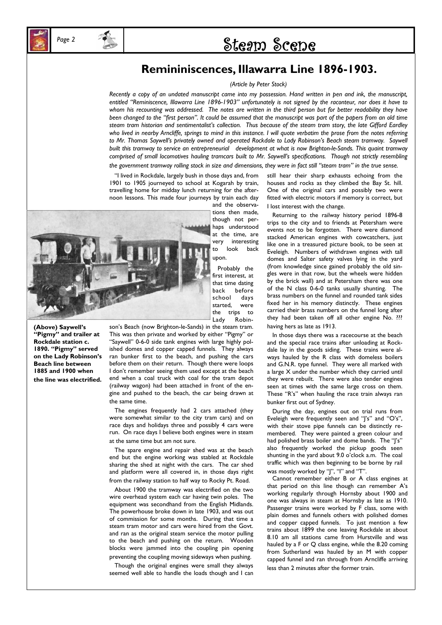## Page 2 **Page 2 2 Steam Scene**

## **Remininiscences, Illawarra Line 1896-1903.**

#### *(Article by Peter Stock)*

*Recently a copy of an undated manuscript came into my possession. Hand written in pen and ink, the manuscript, entitled "Reminiscence, Illawarra Line 1896-1903" unfortunately is not signed by the raconteur, nor does it have to*  whom his recounting was addressed. The notes are written in the third person but for better readability they have *been changed to the "first person". It could be assumed that the manuscript was part of the papers from an old time steam tram historian and sentimentalist's collection. Thus because of the steam tram story, the late Gifford Eardley who lived in nearby Arncliffe, springs to mind in this instance. I will quote verbatim the prose from the notes referring to Mr. Thomas Saywell's privately owned and operated Rockdale to Lady Robinson's Beach steam tramway. Saywell built this tramway to service an entrepreneurial development at what is now Brighton-le-Sands. This quaint tramway comprised of small locomotives hauling tramcars built to Mr. Saywell's specifications. Though not strictly resembling the government tramway rolling stock in size and dimensions, they were in fact still "steam tram" in the true sense.* 

 "I lived in Rockdale, largely bush in those days and, from 1901 to 1905 journeyed to school at Kogarah by train, travelling home for midday lunch returning for the afternoon lessons. This made four journeys by train each day



and the observations then made, though not perhaps understood at the time, are very interesting to look back upon.

 Probably the first interest, at that time dating back before school days started, were the trips to Lady Robin-

**(Above) Saywell's "Pigmy" and trailer at Rockdale station c. 1890. "Pigmy" served on the Lady Robinson's Beach line between 1885 and 1900 when the line was electrified.**  son's Beach (now Brighton-le-Sands) in the steam tram. This was then private and worked by either "Pigmy" or "Saywell" 0-6-0 side tank engines with large highly polished domes and copper capped funnels. They always ran bunker first to the beach, and pushing the cars before them on their return. Though there were loops I don't remember seeing them used except at the beach end when a coal truck with coal for the tram depot (railway wagon) had been attached in front of the engine and pushed to the beach, the car being drawn at the same time.

 The engines frequently had 2 cars attached (they were somewhat similar to the city tram cars) and on race days and holidays three and possibly 4 cars were run. On race days I believe both engines were in steam at the same time but am not sure.

 The spare engine and repair shed was at the beach end but the engine working was stabled at Rockdale sharing the shed at night with the cars. The car shed and platform were all covered in, in those days right from the railway station to half way to Rocky Pt. Road.

 About 1900 the tramway was electrified on the two wire overhead system each car having twin poles. The equipment was secondhand from the English Midlands. The powerhouse broke down in late 1903, and was out of commission for some months. During that time a steam tram motor and cars were hired from the Govt. and ran as the original steam service the motor pulling to the beach and pushing on the return. Wooden blocks were jammed into the coupling pin opening preventing the coupling moving sideways when pushing.

 Though the original engines were small they always seemed well able to handle the loads though and I can still hear their sharp exhausts echoing from the houses and rocks as they climbed the Bay St. hill. One of the original cars and possibly two were fitted with electric motors if memory is correct, but I lost interest with the change.

 Returning to the railway history period 1896-8 trips to the city and to friends at Petersham were events not to be forgotten. There were diamond stacked American engines with cowcatchers, just like one in a treasured picture book, to be seen at Eveleigh. Numbers of withdrawn engines with tall domes and Salter safety valves lying in the yard (from knowledge since gained probably the old singles were in that row, but the wheels were hidden by the brick wall) and at Petersham there was one of the N class 0-6-0 tanks usually shunting. The brass numbers on the funnel and rounded tank sides fixed her in his memory distinctly. These engines carried their brass numbers on the funnel long after they had been taken off all other engine No. ??? having hers as late as 1913.

 In those days there was a racecourse at the beach and the special race trains after unloading at Rockdale lay in the goods siding. These trains were always hauled by the R class with domeless boilers and G.N.R. type funnel. They were all marked with a large X under the number which they carried until they were rebuilt. There were also tender engines seen at times with the same large cross on them. These "R's" when hauling the race train always ran bunker first out of Sydney.

 During the day, engines out on trial runs from Eveleigh were frequently seen and "J's" and "O's", with their stove pipe funnels can be distinctly remembered. They were painted a green colour and had polished brass boiler and dome bands. The "J's" also frequently worked the pickup goods seen shunting in the yard about 9.0 o'clock a.m. The coal traffic which was then beginning to be borne by rail was mostly worked by "J", "I" and "T".

 Cannot remember either B or A class engines at that period on this line though can remember A's working regularly through Hornsby about 1900 and one was always in steam at Hornsby as late as 1910. Passenger trains were worked by F class, some with plain domes and funnels others with polished domes and copper capped funnels. To just mention a few trains about 1899 the one leaving Rockdale at about 8.10 am all stations came from Hurstville and was hauled by a F or Q class engine, while the 8.20 coming from Sutherland was hauled by an M with copper capped funnel and ran through from Arncliffe arriving less than 2 minutes after the former train.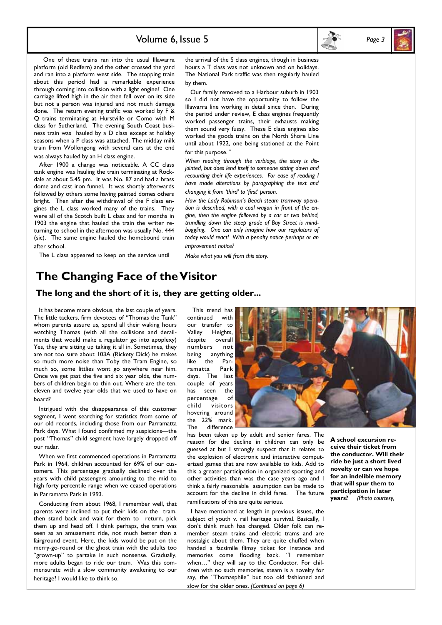



 One of these trains ran into the usual Illawarra platform (old Redfern) and the other crossed the yard and ran into a platform west side. The stopping train about this period had a remarkable experience through coming into collision with a light engine? One carriage lifted high in the air then fell over on its side but not a person was injured and not much damage done. The return evening traffic was worked by F & Q trains terminating at Hurstville or Como with M class for Sutherland. The evening South Coast business train was hauled by a D class except at holiday seasons when a P class was attached. The midday milk train from Wollongong with several cars at the end was always hauled by an H class engine.

 After 1900 a change was noticeable. A CC class tank engine was hauling the train terminating at Rockdale at about 5.45 pm. It was No. 87 and had a brass dome and cast iron funnel. It was shortly afterwards followed by others some having painted domes others bright. Then after the withdrawal of the F class engines the L class worked many of the trains. They were all of the Scotch built L class and for months in 1903 the engine that hauled the train the writer returning to school in the afternoon was usually No. 444 (sic). The same engine hauled the homebound train after school.

The L class appeared to keep on the service until

the arrival of the S class engines, though in business hours a T class was not unknown and on holidays. The National Park traffic was then regularly hauled by them.

 Our family removed to a Harbour suburb in 1903 so I did not have the opportunity to follow the Illawarra line working in detail since then. During the period under review, E class engines frequently worked passenger trains, their exhausts making them sound very fussy. These E class engines also worked the goods trains on the North Shore Line until about 1922, one being stationed at the Point for this purpose. "

*When reading through the verbiage, the story is disjointed, but does lend itself to someone sitting down and recounting their life experiences. For ease of reading I have made alterations by paragraphing the text and changing it from 'third' to 'first' person.* 

*How the Lady Robinson's Beach steam tramway operation is described, with a coal wagon in front of the engine, then the engine followed by a car or two behind, trundling down the steep grade of Bay Street is mindboggling. One can only imagine how our regulators of today would react! With a penalty notice perhaps or an improvement notice?* 

*Make what you will from this story.* 

## **The Changing Face of the Visitor**

#### **The long and the short of it is, they are getting older...**

 It has become more obvious, the last couple of years. The little tackers, firm devotees of "Thomas the Tank" whom parents assure us, spend all their waking hours watching Thomas (with all the collisions and derailments that would make a regulator go into apoplexy) Yes, they are sitting up taking it all in. Sometimes, they are not too sure about 103A (Rickety Dick) he makes so much more noise than Toby the Tram Engine, so much so, some littlies wont go anywhere near him. Once we get past the five and six year olds, the numbers of children begin to thin out. Where are the ten, eleven and twelve year olds that we used to have on board?

 Intrigued with the disappearance of this customer segment, I went searching for statistics from some of our old records, including those from our Parramatta Park days. What I found confirmed my suspicions—the post "Thomas" child segment have largely dropped off our radar.

 When we first commenced operations in Parramatta Park in 1964, children accounted for 69% of our customers. This percentage gradually declined over the years with child passengers amounting to the mid to high forty percentile range when we ceased operations in Parramatta Park in 1993.

 Conducting from about 1968, I remember well, that parents were inclined to put their kids on the tram, then stand back and wait for them to return, pick them up and head off. I think perhaps, the tram was seen as an amusement ride, not much better than a fairground event. Here, the kids would be put on the merry-go-round or the ghost train with the adults too "grown-up" to partake in such nonsense. Gradually, more adults began to ride our tram. Was this commensurate with a slow community awakening to our heritage? I would like to think so.

 This trend has continued with our transfer to Valley Heights, despite overall numbers not being anything like the Parramatta Park days. The last couple of years has seen the percentage of<br>child visitors visitors hovering around the 22% mark. The difference

has been taken up by adult and senior fares. The reason for the decline in children can only be guessed at but I strongly suspect that it relates to the explosion of electronic and interactive computerized games that are now available to kids. Add to this a greater participation in organized sporting and other activities than was the case years ago and I think a fairly reasonable assumption can be made to account for the decline in child fares. The future ramifications of this are quite serious.

 I have mentioned at length in previous issues, the subject of youth v. rail heritage survival. Basically, I don't think much has changed. Older folk can remember steam trains and electric trams and are nostalgic about them. They are quite chuffed when handed a facsimile flimsy ticket for instance and memories come flooding back. "I remember when…" they will say to the Conductor. For children with no such memories, steam is a novelty for say, the "Thomasphile" but too old fashioned and slow for the older ones. *(Continued on page 6)* 

**A school excursion receive their ticket from the conductor. Will their ride be just a short lived novelty or can we hope for an indelible memory that will spur them to participation in later years?** *(Photo courtesy,*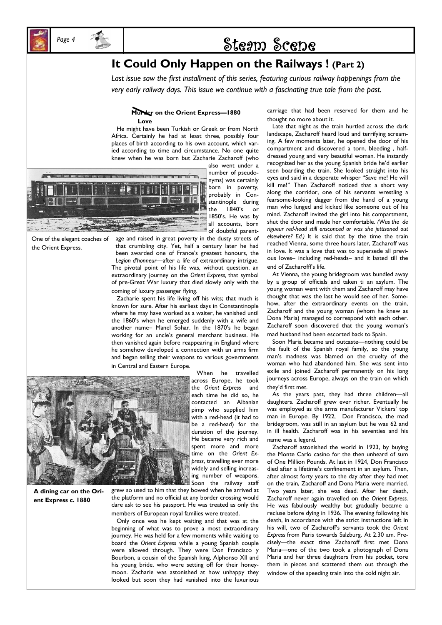

## Page 4 **1988** Steam Scene

## **It Could Only Happen on the Railways ! (Part 2)**

*Last issue saw the first installment of this series, featuring curious railway happenings from the very early railway days. This issue we continue with a fascinating true tale from the past.* 

#### **Murder on the Orient Express—1880 Love**

 He might have been Turkish or Greek or from North Africa. Certainly he had at least three, possibly four places of birth according to his own account, which varied according to time and circumstance. No one quite knew when he was born but Zacharie Zacharoff (who



One of the elegant coaches of the Orient Express.

also went under a number of pseudonyms) was certainly born in poverty, probably in Constantinople during the 1840's or 1850's. He was by all accounts, born of doubtful parent-

age and raised in great poverty in the dusty streets of that crumbling city. Yet, half a century later he had been awarded one of France's greatest honours, the *Legion d'honneur*—after a life of extraordinary intrigue. The pivotal point of his life was, without question, an extraordinary journey on the *Orient Express,* that symbol of pre-Great War luxury that died slowly only with the coming of luxury passenger flying.

 Zacharie spent his life living off his wits; that much is known for sure. After his earliest days in Constantinople where he may have worked as a waiter, he vanished until the 1860's when he emerged suddenly with a wife and another name– Manel Sohar. In the 1870's he began working for an uncle's general merchant business. He then vanished again before reappearing in England where he somehow developed a connection with an arms firm and began selling their weapons to various governments in Central and Eastern Europe.



**A dining car on the Orient Express c. 1880** 

 When he travelled across Europe, he took the *Orient Express* and each time he did so, he contacted an Albanian pimp who supplied him with a red-head (it had to be a red-head) for the duration of the journey. He became very rich and spent more and more time on the *Orient Express*, travelling ever more widely and selling increasing number of weapons. Soon the railway staff

 $\overline{a}$ 

grew so used to him that they bowed when he arrived at the platform and no official at any border crossing would dare ask to see his passport. He was treated as only the members of European royal families were treated.

 Only once was he kept waiting and that was at the beginning of what was to prove a most extraordinary journey. He was held for a few moments while waiting to board the *Orient Express* while a young Spanish couple were allowed through. They were Don Francisco y Bourbon, a cousin of the Spanish king, Alphonso XII and his young bride, who were setting off for their honeymoon. Zacharie was astonished at how unhappy they looked but soon they had vanished into the luxurious

carriage that had been reserved for them and he thought no more about it.

 Late that night as the train hurtled across the dark landscape, Zacharoff heard loud and terrifying screaming. A few moments later, he opened the door of his compartment and discovered a torn, bleeding , halfdressed young and very beautiful woman. He instantly recognized her as the young Spanish bride he'd earlier seen boarding the train. She looked straight into his eyes and said in a desperate whisper "Save me! He will kill me!" Then Zacharoff noticed that a short way along the corridor, one of his servants wrestling a fearsome-looking dagger from the hand of a young man who lunged and kicked like someone out of his mind. Zacharoff invited the girl into his compartment, shut the door and made her comfortable. *(Was the de rigueur red-head still ensconced or was she jettisoned out elsewhere? Ed.)* It is said that by the time the train reached Vienna, some three hours later, Zacharoff was in love. It was a love that was to supersede all previous loves– including red-heads– and it lasted till the end of Zacharofff's life.

 At Vienna, the young bridegroom was bundled away by a group of officials and taken ti an asylum. The young woman went with them and Zacharoff may have thought that was the last he would see of her. Somehow, after the extraordinary events on the train, Zacharoff and the young woman (whom he knew as Dona Maria) managed to correspond with each other. Zacharoff soon discovered that the young woman's mad husband had been escorted back to Spain.

 Soon Maria became and outcaste—nothing could be the fault of the Spanish royal family, so the young man's madness was blamed on the cruelty of the woman who had abandoned him. She was sent into exile and joined Zacharoff permanently on his long journeys across Europe, always on the train on which they'd first met.

 As the years past, they had three children—all daughters. Zacharoff grew ever richer. Eventually he was employed as the arms manufacturer Vickers' top man in Europe. By 1922, Don Francisco, the mad bridegroom, was still in an asylum but he was 62 and in ill health. Zacharoff was in his seventies and his name was a legend.

 Zacharoff astonished the world in 1923, by buying the Monte Carlo casino for the then unheard of sum of One Million Pounds. At last in 1924, Don Francisco died after a lifetime's confinement in an asylum. Then, after almost forty years to the day after they had met on the train, Zacharoff and Dona Maria were married. Two years later, she was dead. After her death, Zacharoff never again travelled on the *Orient Express.*  He was fabulously wealthy but gradually became a recluse before dying in 1936. The evening following his death, in accordance with the strict instructions left in his will, two of Zacharoff's servants took the *Orient Express* from Paris towards Salzburg. At 2.30 am. Precisely—the exact time Zacharoff first met Dona Maria—one of the two took a photograph of Dona Maria and her three daughters from his pocket, tore them in pieces and scattered them out through the window of the speeding train into the cold night air.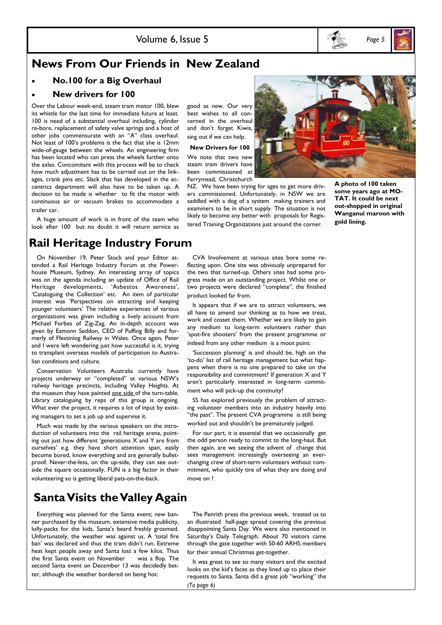



## **News From Our Friends in New Zealand**

• **No.100 for a Big Overhaul** 

#### • **New drivers for 100**

Over the Labour week-end, steam tram motor 100, blew its whistle for the last time for immediate future at least. 100 is need of a substantial overhaul including, cylinder re-bore, replacement of safety valve springs and a host of other jobs commensurate with an "A" class overhaul. Not least of 100's problems is the fact that she is 12mm wide-of-gauge between the wheels. An engineering firm has been located who can press the wheels further onto the axles. Concomitant with this process will be to check how much adjustment has to be carried out on the linkages, crank pins etc. Slack that has developed in the eccentrics department will also have to be taken up. A decision to be made is whether to fit the motor with continuous air or vacuum brakes to accommodate a trailer car.

 A huge amount of work is in front of the team who look after 100 but no doubt it will return service as

## **Rail Heritage Industry Forum**

 On November 19, Peter Stock and your Editor attended a Rail Heritage Industry Forum at the Powerhouse Museum, Sydney. An interesting array of topics was on the agenda including an update of Office of Rail Heritage developments, 'Asbestos Awareness', 'Cataloguing the Collection' etc. An item of particular interest was 'Perspectives on attracting and keeping younger volunteers' The relative experiences of various organizations was given including a lively account from Michael Forbes of Zig-Zag. An in-depth account was given by Eamonn Seddon, CEO of Puffing Billy and formerly of Ffestiniog Railway in Wales. Once again, Peter and I were left wondering just how successful is it, trying to transplant overseas models of participation to Australian conditions and culture.

 Conservation Volunteers Australia currently have projects underway or "completed" at various NSW's railway heritage precincts, including Valley Heights. At the museum they have painted one side of the turn-table. Library cataloguing by reps of this group is ongoing. What ever the project, it requires a lot of input by existing managers to set a job up and supervise it.

 Much was made by the various speakers on the introduction of volunteers into the rail heritage arena, pointing out just how different 'generations X and Y are from ourselves' e.g. they have short attention span, easily become bored, know everything and are generally bulletproof. Never-the-less, on the up-side, they can see outside the square occasionally. FUN is a big factor in their volunteering so is getting liberal pats-on-the-back.

## **Santa Visits the Valley Again**

 Everything was planned for the Santa event; new banner purchased by the museum, extensive media publicity, lolly-packs for the kids, Santa's beard freshly groomed. Unfortunately, the weather was against us. A 'total fire ban' was declared and thus the tram didn't run. Extreme heat kept people away and Santa lost a few kilos. Thus the first Santa event on November was a flop. The second Santa event on December 13 was decidedly better, although the weather bordered on being hot.

good as new. Our very best wishes to all concerned in the overhaul and don't forget Kiwis, sing out if we can help.

#### **New Drivers for 100**

We note that two new steam tram drivers have been commissioned at Ferrymead, Christchurch

NZ. We have been trying for ages to get more drivers commissioned. Unfortunately, in NSW we are saddled with a dog of a system making trainers and examiners to be in short supply. The situation is not likely to become any better with proposals for Registered Training Organizations just around the corner.

**A photo of 100 taken some years ago at MO-TAT. It could be next out-shopped in original Wanganui maroon with gold lining.** 

 CVA Involvement at various sites bore some reflecting upon. One site was obviously unprepared for the two that turned-up. Others sites had some progress made on an outstanding project. Whilst one or two projects were declared "complete", the finished product looked far from.

 It appears that if we are to attract volunteers, we all have to amend our thinking as to how we treat, work and cosset them. Whether we are likely to gain any medium to long-term volunteers rather than 'spot-fire shooters' from the present programme or indeed from any other medium is a moot point.

 'Succession planning' is and should be, high on the 'to-do' list of rail heritage management but what happens when there is no one prepared to take on the responsibility and commitment? If generation X and Y aren't particularly interested in long-term commitment who will pick-up the continuity?

 SS has explored previously the problem of attracting volunteer members into an industry heavily into "the past". The present CVA programme is still being worked out and shouldn't be prematurely judged.

 For our part, it is essential that we occasionally get the odd person ready to commit to the long-haul. But then again, are we seeing the advent of change that sees management increasingly overseeing an everchanging crew of short-term volunteers without commitment, who quickly tire of what they are doing and move on ?

 The Penrith press the previous week, treated us to an illustrated half-page spread covering the previous disappointing Santa Day. We were also mentioned in Saturday's Daily Telegraph. About 70 visitors came through the gate together with 50-60 ARHS members for their annual Christmas get-together.

 It was great to see so many visitors and the excited looks on the kid's faces as they lined up to place their requests to Santa. Santa did a great job "working" the *(To page 6)*